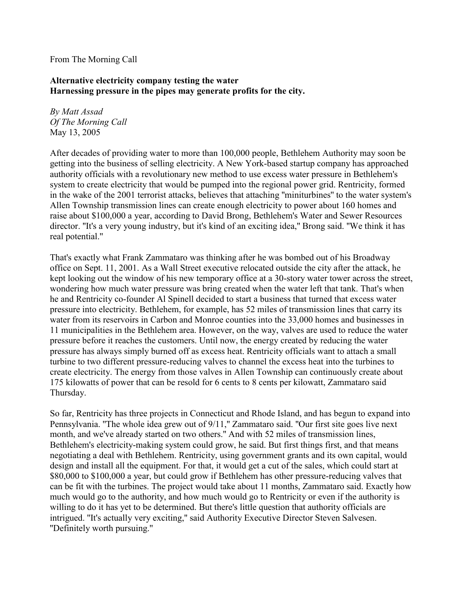## From The Morning Call

## **Alternative electricity company testing the water Harnessing pressure in the pipes may generate profits for the city.**

*By Matt Assad Of The Morning Call* May 13, 2005

After decades of providing water to more than 100,000 people, Bethlehem Authority may soon be getting into the business of selling electricity. A New York-based startup company has approached authority officials with a revolutionary new method to use excess water pressure in Bethlehem's system to create electricity that would be pumped into the regional power grid. Rentricity, formed in the wake of the 2001 terrorist attacks, believes that attaching ''miniturbines'' to the water system's Allen Township transmission lines can create enough electricity to power about 160 homes and raise about \$100,000 a year, according to David Brong, Bethlehem's Water and Sewer Resources director. ''It's a very young industry, but it's kind of an exciting idea,'' Brong said. ''We think it has real potential.''

That's exactly what Frank Zammataro was thinking after he was bombed out of his Broadway office on Sept. 11, 2001. As a Wall Street executive relocated outside the city after the attack, he kept looking out the window of his new temporary office at a 30-story water tower across the street, wondering how much water pressure was bring created when the water left that tank. That's when he and Rentricity co-founder Al Spinell decided to start a business that turned that excess water pressure into electricity. Bethlehem, for example, has 52 miles of transmission lines that carry its water from its reservoirs in Carbon and Monroe counties into the 33,000 homes and businesses in 11 municipalities in the Bethlehem area. However, on the way, valves are used to reduce the water pressure before it reaches the customers. Until now, the energy created by reducing the water pressure has always simply burned off as excess heat. Rentricity officials want to attach a small turbine to two different pressure-reducing valves to channel the excess heat into the turbines to create electricity. The energy from those valves in Allen Township can continuously create about 175 kilowatts of power that can be resold for 6 cents to 8 cents per kilowatt, Zammataro said Thursday.

So far, Rentricity has three projects in Connecticut and Rhode Island, and has begun to expand into Pennsylvania. ''The whole idea grew out of 9/11,'' Zammataro said. ''Our first site goes live next month, and we've already started on two others.'' And with 52 miles of transmission lines, Bethlehem's electricity-making system could grow, he said. But first things first, and that means negotiating a deal with Bethlehem. Rentricity, using government grants and its own capital, would design and install all the equipment. For that, it would get a cut of the sales, which could start at \$80,000 to \$100,000 a year, but could grow if Bethlehem has other pressure-reducing valves that can be fit with the turbines. The project would take about 11 months, Zammataro said. Exactly how much would go to the authority, and how much would go to Rentricity or even if the authority is willing to do it has yet to be determined. But there's little question that authority officials are intrigued. ''It's actually very exciting,'' said Authority Executive Director Steven Salvesen. ''Definitely worth pursuing.''